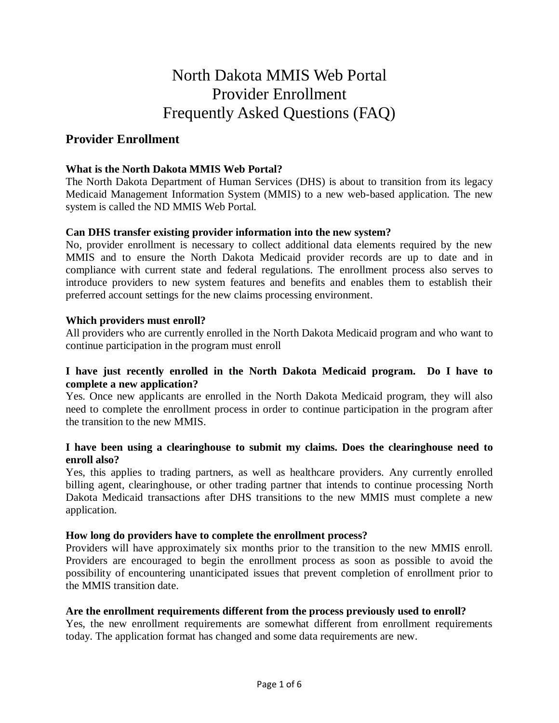# North Dakota MMIS Web Portal Provider Enrollment Frequently Asked Questions (FAQ)

# **Provider Enrollment**

# **What is the North Dakota MMIS Web Portal?**

The North Dakota Department of Human Services (DHS) is about to transition from its legacy Medicaid Management Information System (MMIS) to a new web-based application. The new system is called the ND MMIS Web Portal.

# **Can DHS transfer existing provider information into the new system?**

No, provider enrollment is necessary to collect additional data elements required by the new MMIS and to ensure the North Dakota Medicaid provider records are up to date and in compliance with current state and federal regulations. The enrollment process also serves to introduce providers to new system features and benefits and enables them to establish their preferred account settings for the new claims processing environment.

# **Which providers must enroll?**

All providers who are currently enrolled in the North Dakota Medicaid program and who want to continue participation in the program must enroll

# **I have just recently enrolled in the North Dakota Medicaid program. Do I have to complete a new application?**

Yes. Once new applicants are enrolled in the North Dakota Medicaid program, they will also need to complete the enrollment process in order to continue participation in the program after the transition to the new MMIS.

# **I have been using a clearinghouse to submit my claims. Does the clearinghouse need to enroll also?**

Yes, this applies to trading partners, as well as healthcare providers. Any currently enrolled billing agent, clearinghouse, or other trading partner that intends to continue processing North Dakota Medicaid transactions after DHS transitions to the new MMIS must complete a new application.

# **How long do providers have to complete the enrollment process?**

Providers will have approximately six months prior to the transition to the new MMIS enroll. Providers are encouraged to begin the enrollment process as soon as possible to avoid the possibility of encountering unanticipated issues that prevent completion of enrollment prior to the MMIS transition date.

#### **Are the enrollment requirements different from the process previously used to enroll?**

Yes, the new enrollment requirements are somewhat different from enrollment requirements today. The application format has changed and some data requirements are new.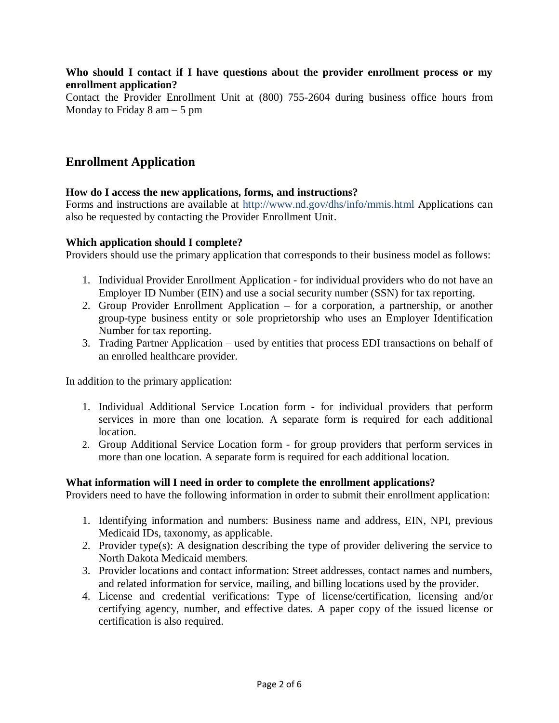# **Who should I contact if I have questions about the provider enrollment process or my enrollment application?**

Contact the Provider Enrollment Unit at (800) 755-2604 during business office hours from Monday to Friday  $8 \text{ am} - 5 \text{ pm}$ 

# **Enrollment Application**

# **How do I access the new applications, forms, and instructions?**

Forms and instructions are available at http://www.nd.gov/dhs/info/mmis.html Applications can also be requested by contacting the Provider Enrollment Unit.

# **Which application should I complete?**

Providers should use the primary application that corresponds to their business model as follows:

- 1. Individual Provider Enrollment Application for individual providers who do not have an Employer ID Number (EIN) and use a social security number (SSN) for tax reporting.
- 2. Group Provider Enrollment Application for a corporation, a partnership, or another group-type business entity or sole proprietorship who uses an Employer Identification Number for tax reporting.
- 3. Trading Partner Application used by entities that process EDI transactions on behalf of an enrolled healthcare provider.

In addition to the primary application:

- 1. Individual Additional Service Location form for individual providers that perform services in more than one location. A separate form is required for each additional location.
- 2. Group Additional Service Location form for group providers that perform services in more than one location. A separate form is required for each additional location.

# **What information will I need in order to complete the enrollment applications?**

Providers need to have the following information in order to submit their enrollment application:

- 1. Identifying information and numbers: Business name and address, EIN, NPI, previous Medicaid IDs, taxonomy, as applicable.
- 2. Provider type(s): A designation describing the type of provider delivering the service to North Dakota Medicaid members.
- 3. Provider locations and contact information: Street addresses, contact names and numbers, and related information for service, mailing, and billing locations used by the provider.
- 4. License and credential verifications: Type of license/certification, licensing and/or certifying agency, number, and effective dates. A paper copy of the issued license or certification is also required.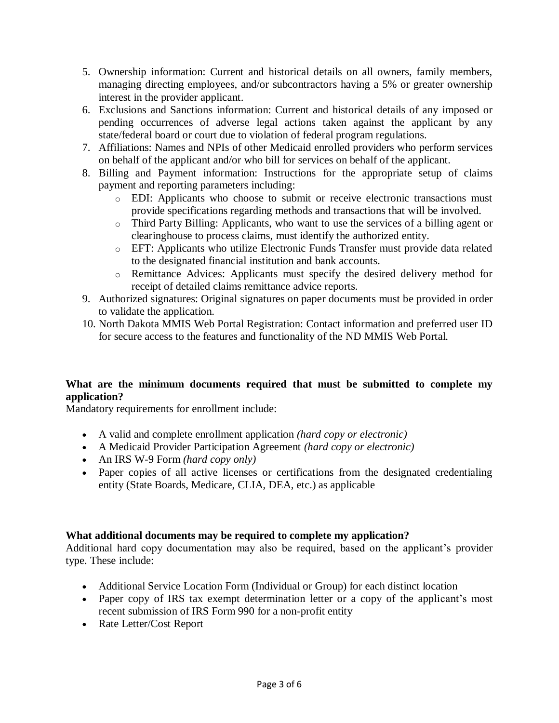- 5. Ownership information: Current and historical details on all owners, family members, managing directing employees, and/or subcontractors having a 5% or greater ownership interest in the provider applicant.
- 6. Exclusions and Sanctions information: Current and historical details of any imposed or pending occurrences of adverse legal actions taken against the applicant by any state/federal board or court due to violation of federal program regulations.
- 7. Affiliations: Names and NPIs of other Medicaid enrolled providers who perform services on behalf of the applicant and/or who bill for services on behalf of the applicant.
- 8. Billing and Payment information: Instructions for the appropriate setup of claims payment and reporting parameters including:
	- o EDI: Applicants who choose to submit or receive electronic transactions must provide specifications regarding methods and transactions that will be involved.
	- o Third Party Billing: Applicants, who want to use the services of a billing agent or clearinghouse to process claims, must identify the authorized entity.
	- o EFT: Applicants who utilize Electronic Funds Transfer must provide data related to the designated financial institution and bank accounts.
	- o Remittance Advices: Applicants must specify the desired delivery method for receipt of detailed claims remittance advice reports.
- 9. Authorized signatures: Original signatures on paper documents must be provided in order to validate the application.
- 10. North Dakota MMIS Web Portal Registration: Contact information and preferred user ID for secure access to the features and functionality of the ND MMIS Web Portal.

# **What are the minimum documents required that must be submitted to complete my application?**

Mandatory requirements for enrollment include:

- A valid and complete enrollment application *(hard copy or electronic)*
- A Medicaid Provider Participation Agreement *(hard copy or electronic)*
- An IRS W-9 Form *(hard copy only)*
- Paper copies of all active licenses or certifications from the designated credentialing entity (State Boards, Medicare, CLIA, DEA, etc.) as applicable

# **What additional documents may be required to complete my application?**

Additional hard copy documentation may also be required, based on the applicant's provider type. These include:

- Additional Service Location Form (Individual or Group) for each distinct location
- Paper copy of IRS tax exempt determination letter or a copy of the applicant's most recent submission of IRS Form 990 for a non-profit entity
- Rate Letter/Cost Report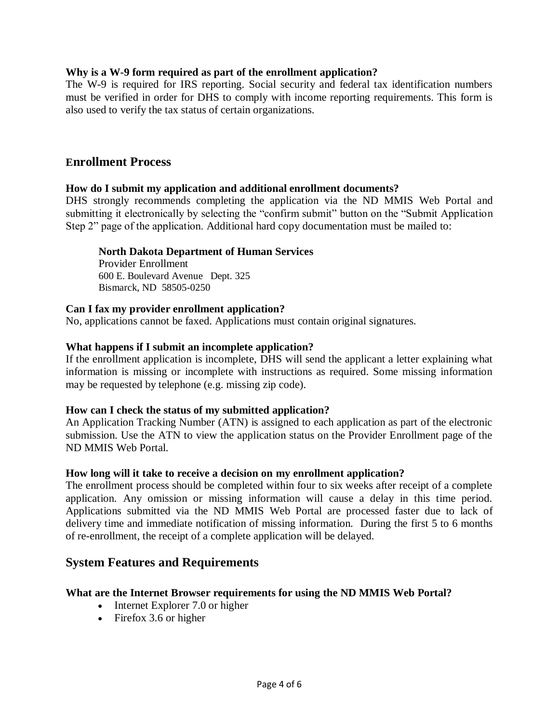# **Why is a W-9 form required as part of the enrollment application?**

The W-9 is required for IRS reporting. Social security and federal tax identification numbers must be verified in order for DHS to comply with income reporting requirements. This form is also used to verify the tax status of certain organizations.

# **Enrollment Process**

#### **How do I submit my application and additional enrollment documents?**

DHS strongly recommends completing the application via the ND MMIS Web Portal and submitting it electronically by selecting the "confirm submit" button on the "Submit Application Step 2" page of the application. Additional hard copy documentation must be mailed to:

#### **North Dakota Department of Human Services**

Provider Enrollment 600 E. Boulevard Avenue Dept. 325 Bismarck, ND 58505-0250

#### **Can I fax my provider enrollment application?**

No, applications cannot be faxed. Applications must contain original signatures.

# **What happens if I submit an incomplete application?**

If the enrollment application is incomplete, DHS will send the applicant a letter explaining what information is missing or incomplete with instructions as required. Some missing information may be requested by telephone (e.g. missing zip code).

# **How can I check the status of my submitted application?**

An Application Tracking Number (ATN) is assigned to each application as part of the electronic submission. Use the ATN to view the application status on the Provider Enrollment page of the ND MMIS Web Portal.

# **How long will it take to receive a decision on my enrollment application?**

The enrollment process should be completed within four to six weeks after receipt of a complete application. Any omission or missing information will cause a delay in this time period. Applications submitted via the ND MMIS Web Portal are processed faster due to lack of delivery time and immediate notification of missing information. During the first 5 to 6 months of re-enrollment, the receipt of a complete application will be delayed.

# **System Features and Requirements**

# **What are the Internet Browser requirements for using the ND MMIS Web Portal?**

- Internet Explorer 7.0 or higher
- Firefox 3.6 or higher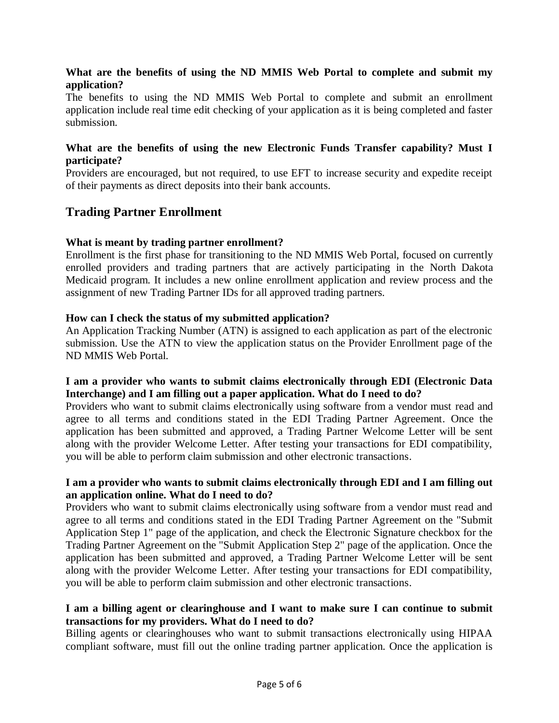# **What are the benefits of using the ND MMIS Web Portal to complete and submit my application?**

The benefits to using the ND MMIS Web Portal to complete and submit an enrollment application include real time edit checking of your application as it is being completed and faster submission.

# **What are the benefits of using the new Electronic Funds Transfer capability? Must I participate?**

Providers are encouraged, but not required, to use EFT to increase security and expedite receipt of their payments as direct deposits into their bank accounts.

# **Trading Partner Enrollment**

# **What is meant by trading partner enrollment?**

Enrollment is the first phase for transitioning to the ND MMIS Web Portal, focused on currently enrolled providers and trading partners that are actively participating in the North Dakota Medicaid program. It includes a new online enrollment application and review process and the assignment of new Trading Partner IDs for all approved trading partners.

# **How can I check the status of my submitted application?**

An Application Tracking Number (ATN) is assigned to each application as part of the electronic submission. Use the ATN to view the application status on the Provider Enrollment page of the ND MMIS Web Portal.

# **I am a provider who wants to submit claims electronically through EDI (Electronic Data Interchange) and I am filling out a paper application. What do I need to do?**

Providers who want to submit claims electronically using software from a vendor must read and agree to all terms and conditions stated in the EDI Trading Partner Agreement. Once the application has been submitted and approved, a Trading Partner Welcome Letter will be sent along with the provider Welcome Letter. After testing your transactions for EDI compatibility, you will be able to perform claim submission and other electronic transactions.

# **I am a provider who wants to submit claims electronically through EDI and I am filling out an application online. What do I need to do?**

Providers who want to submit claims electronically using software from a vendor must read and agree to all terms and conditions stated in the EDI Trading Partner Agreement on the "Submit Application Step 1" page of the application, and check the Electronic Signature checkbox for the Trading Partner Agreement on the "Submit Application Step 2" page of the application. Once the application has been submitted and approved, a Trading Partner Welcome Letter will be sent along with the provider Welcome Letter. After testing your transactions for EDI compatibility, you will be able to perform claim submission and other electronic transactions.

# **I am a billing agent or clearinghouse and I want to make sure I can continue to submit transactions for my providers. What do I need to do?**

Billing agents or clearinghouses who want to submit transactions electronically using HIPAA compliant software, must fill out the online trading partner application. Once the application is